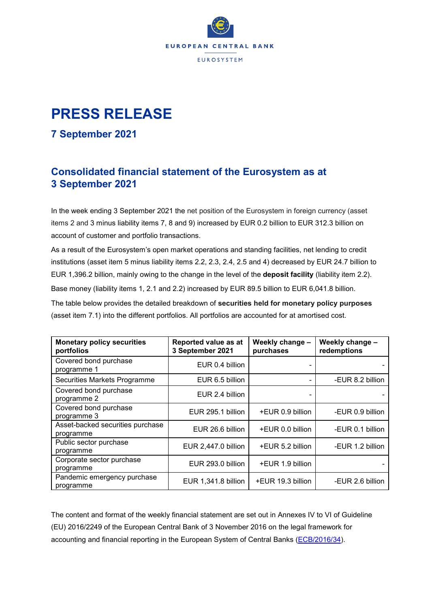

## **PRESS RELEASE**

## **7 September 2021**

## **Consolidated financial statement of the Eurosystem as at 3 September 2021**

In the week ending 3 September 2021 the net position of the Eurosystem in foreign currency (asset items 2 and 3 minus liability items 7, 8 and 9) increased by EUR 0.2 billion to EUR 312.3 billion on account of customer and portfolio transactions.

As a result of the Eurosystem's open market operations and standing facilities, net lending to credit institutions (asset item 5 minus liability items 2.2, 2.3, 2.4, 2.5 and 4) decreased by EUR 24.7 billion to EUR 1,396.2 billion, mainly owing to the change in the level of the **deposit facility** (liability item 2.2). Base money (liability items 1, 2.1 and 2.2) increased by EUR 89.5 billion to EUR 6,041.8 billion.

The table below provides the detailed breakdown of **securities held for monetary policy purposes** (asset item 7.1) into the different portfolios. All portfolios are accounted for at amortised cost.

| <b>Monetary policy securities</b><br>portfolios | Reported value as at<br>3 September 2021 | Weekly change -<br>purchases | Weekly change -<br>redemptions |
|-------------------------------------------------|------------------------------------------|------------------------------|--------------------------------|
| Covered bond purchase<br>programme 1            | EUR 0.4 billion                          |                              |                                |
| Securities Markets Programme                    | EUR 6.5 billion                          |                              | -EUR 8.2 billion               |
| Covered bond purchase<br>programme 2            | EUR 2.4 billion                          |                              |                                |
| Covered bond purchase<br>programme 3            | EUR 295.1 billion                        | +EUR 0.9 billion             | -EUR 0.9 billion               |
| Asset-backed securities purchase<br>programme   | EUR 26.6 billion                         | +EUR 0.0 billion             | -EUR 0.1 billion               |
| Public sector purchase<br>programme             | EUR 2,447.0 billion                      | +EUR 5.2 billion             | -EUR 1.2 billion               |
| Corporate sector purchase<br>programme          | EUR 293.0 billion                        | +EUR 1.9 billion             |                                |
| Pandemic emergency purchase<br>programme        | EUR 1,341.8 billion                      | +EUR 19.3 billion            | -EUR 2.6 billion               |

The content and format of the weekly financial statement are set out in Annexes IV to VI of Guideline (EU) 2016/2249 of the European Central Bank of 3 November 2016 on the legal framework for accounting and financial reporting in the European System of Central Banks [\(ECB/2016/34\)](https://eur-lex.europa.eu/legal-content/EN/TXT/?qid=1599130224518&uri=CELEX:32016O0034).